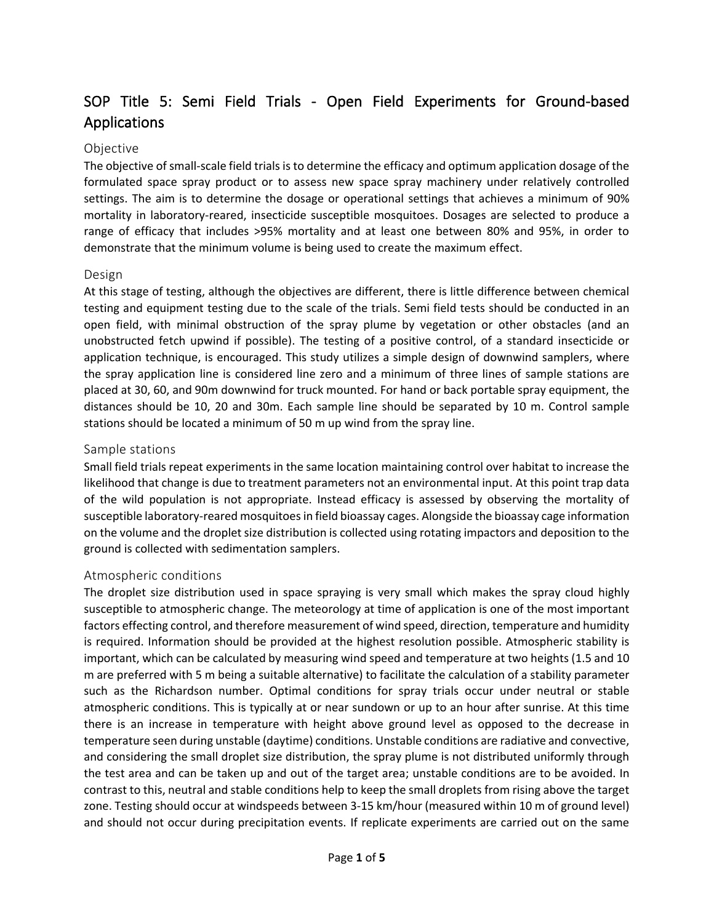# SOP Title 5: Semi Field Trials - Open Field Experiments for Ground-based Applications

#### Objective

The objective of small-scale field trials is to determine the efficacy and optimum application dosage of the formulated space spray product or to assess new space spray machinery under relatively controlled settings. The aim is to determine the dosage or operational settings that achieves a minimum of 90% mortality in laboratory-reared, insecticide susceptible mosquitoes. Dosages are selected to produce a range of efficacy that includes >95% mortality and at least one between 80% and 95%, in order to demonstrate that the minimum volume is being used to create the maximum effect.

#### Design

At this stage of testing, although the objectives are different, there is little difference between chemical testing and equipment testing due to the scale of the trials. Semi field tests should be conducted in an open field, with minimal obstruction of the spray plume by vegetation or other obstacles (and an unobstructed fetch upwind if possible). The testing of a positive control, of a standard insecticide or application technique, is encouraged. This study utilizes a simple design of downwind samplers, where the spray application line is considered line zero and a minimum of three lines of sample stations are placed at 30, 60, and 90m downwind for truck mounted. For hand or back portable spray equipment, the distances should be 10, 20 and 30m. Each sample line should be separated by 10 m. Control sample stations should be located a minimum of 50 m up wind from the spray line.

#### Sample stations

Small field trials repeat experiments in the same location maintaining control over habitat to increase the likelihood that change is due to treatment parameters not an environmental input. At this point trap data of the wild population is not appropriate. Instead efficacy is assessed by observing the mortality of susceptible laboratory-reared mosquitoes in field bioassay cages. Alongside the bioassay cage information on the volume and the droplet size distribution is collected using rotating impactors and deposition to the ground is collected with sedimentation samplers.

#### Atmospheric conditions

The droplet size distribution used in space spraying is very small which makes the spray cloud highly susceptible to atmospheric change. The meteorology at time of application is one of the most important factors effecting control, and therefore measurement of wind speed, direction, temperature and humidity is required. Information should be provided at the highest resolution possible. Atmospheric stability is important, which can be calculated by measuring wind speed and temperature at two heights (1.5 and 10 m are preferred with 5 m being a suitable alternative) to facilitate the calculation of a stability parameter such as the Richardson number. Optimal conditions for spray trials occur under neutral or stable atmospheric conditions. This is typically at or near sundown or up to an hour after sunrise. At this time there is an increase in temperature with height above ground level as opposed to the decrease in temperature seen during unstable (daytime) conditions. Unstable conditions are radiative and convective, and considering the small droplet size distribution, the spray plume is not distributed uniformly through the test area and can be taken up and out of the target area; unstable conditions are to be avoided. In contrast to this, neutral and stable conditions help to keep the small droplets from rising above the target zone. Testing should occur at windspeeds between 3-15 km/hour (measured within 10 m of ground level) and should not occur during precipitation events. If replicate experiments are carried out on the same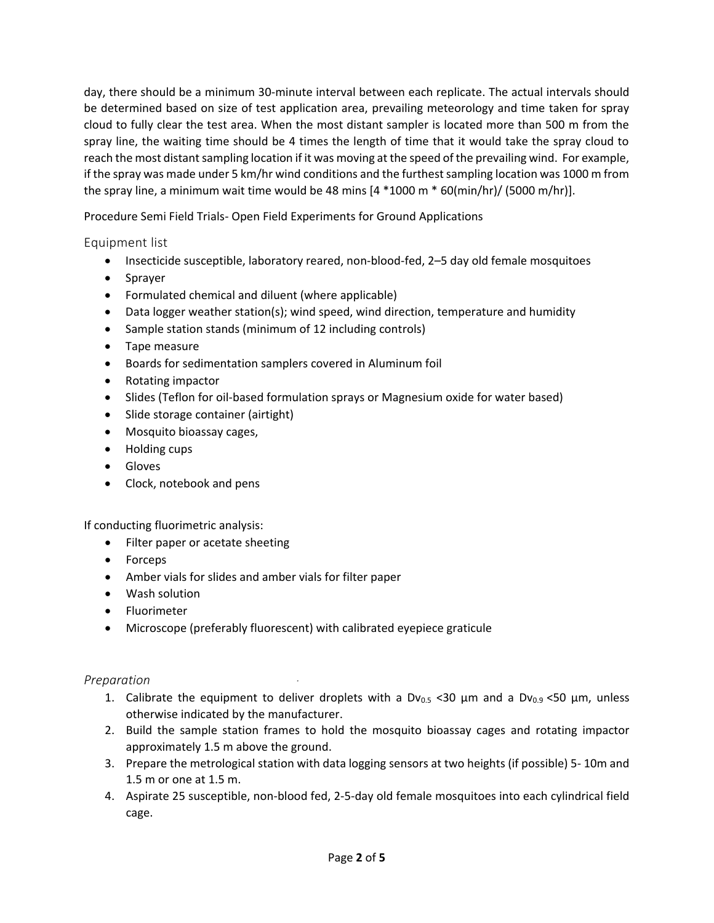day, there should be a minimum 30-minute interval between each replicate. The actual intervals should be determined based on size of test application area, prevailing meteorology and time taken for spray cloud to fully clear the test area. When the most distant sampler is located more than 500 m from the spray line, the waiting time should be 4 times the length of time that it would take the spray cloud to reach the most distant sampling location if it was moving at the speed of the prevailing wind. For example, if the spray was made under 5 km/hr wind conditions and the furthest sampling location was 1000 m from the spray line, a minimum wait time would be 48 mins  $[4 *1000 \text{ m} * 60(\text{min/hr})/(5000 \text{ m/hr})]$ .

Procedure Semi Field Trials- Open Field Experiments for Ground Applications

## Equipment list

- Insecticide susceptible, laboratory reared, non-blood-fed, 2–5 day old female mosquitoes
- Sprayer
- Formulated chemical and diluent (where applicable)
- Data logger weather station(s); wind speed, wind direction, temperature and humidity
- Sample station stands (minimum of 12 including controls)
- Tape measure
- Boards for sedimentation samplers covered in Aluminum foil
- Rotating impactor
- Slides (Teflon for oil-based formulation sprays or Magnesium oxide for water based)
- Slide storage container (airtight)
- Mosquito bioassay cages,
- Holding cups
- Gloves
- Clock, notebook and pens

If conducting fluorimetric analysis:

- Filter paper or acetate sheeting
- Forceps
- Amber vials for slides and amber vials for filter paper
- Wash solution
- Fluorimeter
- Microscope (preferably fluorescent) with calibrated eyepiece graticule

## *Preparation*

- 1. Calibrate the equipment to deliver droplets with a  $Dv_{0.5}$  <30  $\mu$ m and a  $Dv_{0.9}$  <50  $\mu$ m, unless otherwise indicated by the manufacturer.
- 2. Build the sample station frames to hold the mosquito bioassay cages and rotating impactor approximately 1.5 m above the ground.
- 3. Prepare the metrological station with data logging sensors at two heights (if possible) 5- 10m and 1.5 m or one at 1.5 m.
- 4. Aspirate 25 susceptible, non-blood fed, 2-5-day old female mosquitoes into each cylindrical field cage.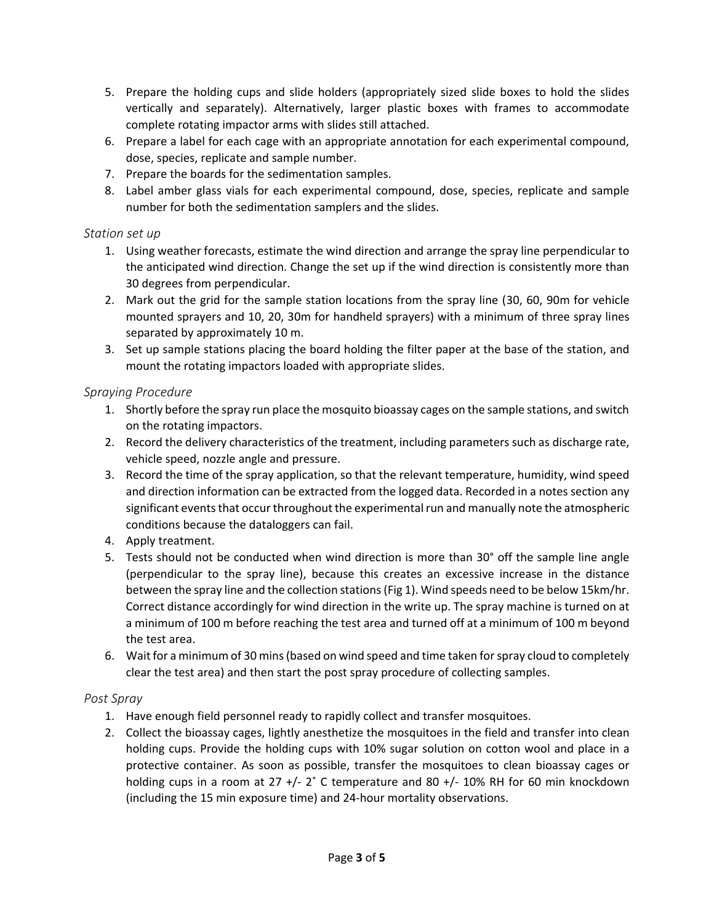- 5. Prepare the holding cups and slide holders (appropriately sized slide boxes to hold the slides vertically and separately). Alternatively, larger plastic boxes with frames to accommodate complete rotating impactor arms with slides still attached.
- 6. Prepare a label for each cage with an appropriate annotation for each experimental compound, dose, species, replicate and sample number.
- 7. Prepare the boards for the sedimentation samples.
- 8. Label amber glass vials for each experimental compound, dose, species, replicate and sample number for both the sedimentation samplers and the slides.

## *Station set up*

- 1. Using weather forecasts, estimate the wind direction and arrange the spray line perpendicular to the anticipated wind direction. Change the set up if the wind direction is consistently more than 30 degrees from perpendicular.
- 2. Mark out the grid for the sample station locations from the spray line (30, 60, 90m for vehicle mounted sprayers and 10, 20, 30m for handheld sprayers) with a minimum of three spray lines separated by approximately 10 m.
- 3. Set up sample stations placing the board holding the filter paper at the base of the station, and mount the rotating impactors loaded with appropriate slides.

#### *Spraying Procedure*

- 1. Shortly before the spray run place the mosquito bioassay cages on the sample stations, and switch on the rotating impactors.
- 2. Record the delivery characteristics of the treatment, including parameters such as discharge rate, vehicle speed, nozzle angle and pressure.
- 3. Record the time of the spray application, so that the relevant temperature, humidity, wind speed and direction information can be extracted from the logged data. Recorded in a notes section any significant events that occur throughout the experimental run and manually note the atmospheric conditions because the dataloggers can fail.
- 4. Apply treatment.
- 5. Tests should not be conducted when wind direction is more than 30° off the sample line angle (perpendicular to the spray line), because this creates an excessive increase in the distance between the spray line and the collection stations(Fig 1). Wind speeds need to be below 15km/hr. Correct distance accordingly for wind direction in the write up. The spray machine is turned on at a minimum of 100 m before reaching the test area and turned off at a minimum of 100 m beyond the test area.
- 6. Wait for a minimum of 30 mins(based on wind speed and time taken for spray cloud to completely clear the test area) and then start the post spray procedure of collecting samples.

## *Post Spray*

- 1. Have enough field personnel ready to rapidly collect and transfer mosquitoes.
- 2. Collect the bioassay cages, lightly anesthetize the mosquitoes in the field and transfer into clean holding cups. Provide the holding cups with 10% sugar solution on cotton wool and place in a protective container. As soon as possible, transfer the mosquitoes to clean bioassay cages or holding cups in a room at 27 +/- 2˚ C temperature and 80 +/- 10% RH for 60 min knockdown (including the 15 min exposure time) and 24-hour mortality observations.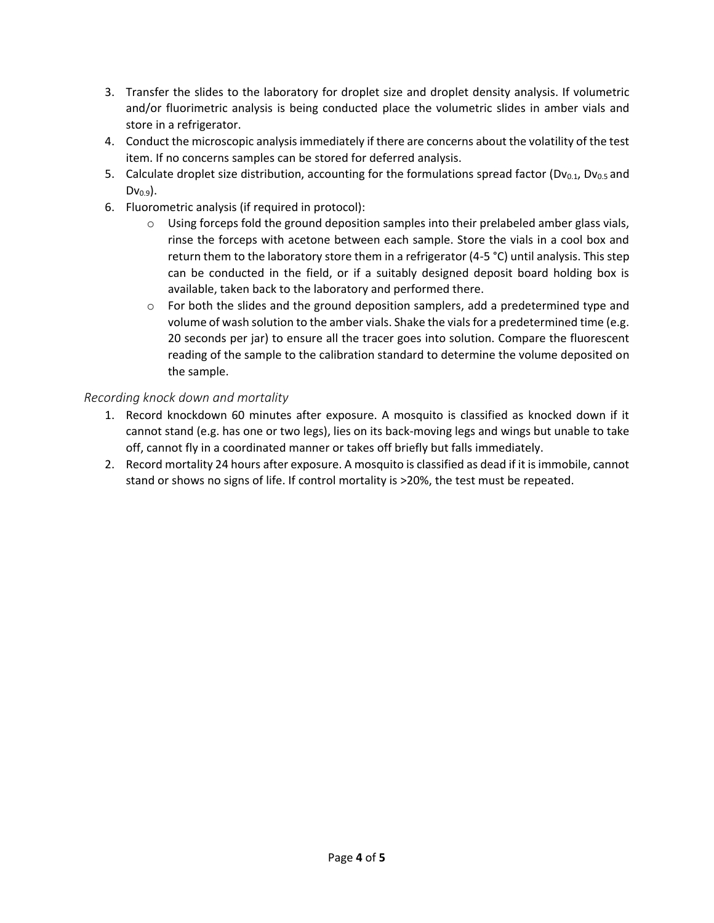- 3. Transfer the slides to the laboratory for droplet size and droplet density analysis. If volumetric and/or fluorimetric analysis is being conducted place the volumetric slides in amber vials and store in a refrigerator.
- 4. Conduct the microscopic analysis immediately if there are concerns about the volatility of the test item. If no concerns samples can be stored for deferred analysis.
- 5. Calculate droplet size distribution, accounting for the formulations spread factor ( $Dv_{0.1}$ ,  $Dv_{0.5}$  and  $Dv_{0.9}$ ).
- 6. Fluorometric analysis (if required in protocol):
	- $\circ$  Using forceps fold the ground deposition samples into their prelabeled amber glass vials, rinse the forceps with acetone between each sample. Store the vials in a cool box and return them to the laboratory store them in a refrigerator (4-5 °C) until analysis. This step can be conducted in the field, or if a suitably designed deposit board holding box is available, taken back to the laboratory and performed there.
	- $\circ$  For both the slides and the ground deposition samplers, add a predetermined type and volume of wash solution to the amber vials. Shake the vials for a predetermined time (e.g. 20 seconds per jar) to ensure all the tracer goes into solution. Compare the fluorescent reading of the sample to the calibration standard to determine the volume deposited on the sample.

## *Recording knock down and mortality*

- 1. Record knockdown 60 minutes after exposure. A mosquito is classified as knocked down if it cannot stand (e.g. has one or two legs), lies on its back-moving legs and wings but unable to take off, cannot fly in a coordinated manner or takes off briefly but falls immediately.
- 2. Record mortality 24 hours after exposure. A mosquito is classified as dead if it is immobile, cannot stand or shows no signs of life. If control mortality is >20%, the test must be repeated.